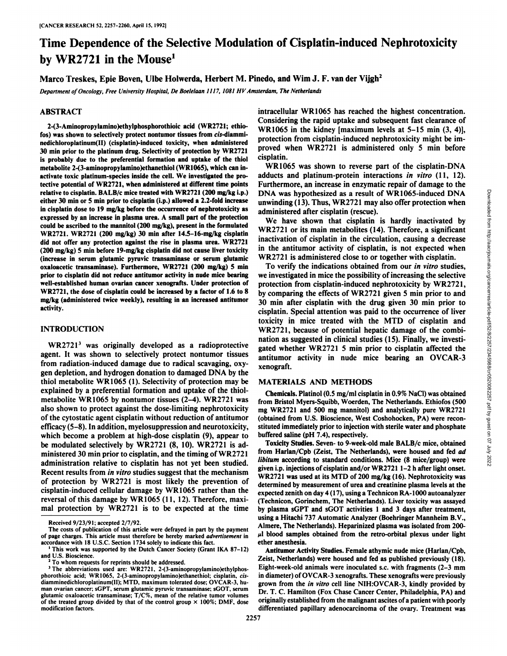# Time Dependence of the Selective Modulation of Cisplatin-induced Nephrotoxicity by WR2721 in the Mouse<sup>1</sup>

Marco Treskes, Epie Boven, Ulbe Holwerda, Herbert M. Pinedo, and Wim J. F. van der Vijgh<sup>2</sup>

*Department of Oncology, Free University Hospital, De Boelelaan lì17, 1081 HV Amsterdam, The Netherlands*

## **ABSTRACT**

**2-(3-Aminopropylamino)ethylphosphorothioic acid (WR2721; i-thin los) was shown to selectively protect nontumor tissues from c/i-diamminedichloroplatinum(II) (cisplatin)-induced toxicity, when administered 30 min prior to the platinum drug. Selectivity of protection by WR2721 is probably due to the preferential formation and uptake of the thiol metabolite 2-(3-aminopropylamino)ethanethiol (WR1065), which can in activate toxic platinum-species inside the cell. We investigated the pro tective potential of WR2721, when administered at different time points relative to cisplatin. BALB/c mice treated with \VR2721 (200 mg/kg i.p.) either 30 min or 5 min prior to cisplatin (i.p.) allowed a 2.2-fold increase in cisplatin dose to 19 mg/kg before the occurrence of nephrotoxicity as expressed by an increase in plasma urea. A small part of the protection could be ascribed to the mannitol (200 mg/kg), present in the formulated WR2721. VVR2721 (200 mg/kg) 30 min after 14.5-16-mg/kg cisplatin did not offer any protection against the rise in plasma urea. WR2721 (200 mg/kg) 5 min before 19-mg/kg cisplatin did not cause liver toxicity (increase in serum glutamic pyruvic transaminase or serum glutamic oxaloacetic transaminase). Furthermore, WR2721 (200 mg/kg) 5 min prior to cisplatin did not reduce antitumor activity in nude mice bearing well-established human ovarian cancer xenografts. Under protection of VVR2721, the dose of cisplatin could be increased by a factor of 1.6 to 8 mg/kg (administered twice weekly), resulting in an increased antitumor activity.**

## **INTRODUCTION**

WR27213 was originally developed as a radioprotective agent. It was shown to selectively protect nontumor tissues from radiation-induced damage due to radical scavaging, oxy gen depletion, and hydrogen donation to damaged DNA by the thiol metabolite WR1065 (1). Selectivity of protection may be explained by a preferential formation and uptake of the thiolmetabolite WR1065 by nontumor tissues (2-4). WR2721 was also shown to protect against the dose-limiting nephrotoxicity of the cytostatic agent cisplatin without reduction of antitumor efficacy (5-8). In addition, myelosuppression and neurotoxicity, which become a problem at high-dose cisplatin (9), appear to be modulated selectively by WR2721 (8,10). WR2721 is ad ministered 30 min prior to cisplatin, and the timing of  $WR2721$ administration relative to cisplatin has not yet been studied. Recent results from in vitro studies suggest that the mechanism of protection by WR2721 is most likely the prevention of cisplatin-induced cellular damage by WR1065 rather than the reversal of this damage by WR1065 (11, 12). Therefore, maxi mal protection by WR2721 is to be expected at the time intracellular WR1065 has reached the highest concentration. Considering the rapid uptake and subsequent fast clearance of WR1065 in the kidney [maximum levels at 5-15 min (3, 4)], protection from cisplatin-induced nephrotoxicity might be im proved when WR2721 is administered only 5 min before cisplatin.

WR1065 was shown to reverse part of the cisplatin-DNA adducts and platinum-protein interactions in vitro (11, 12). Furthermore, an increase in enzymatic repair of damage to the unwinding  $(13)$ . Thus, WR2721 may also offer protection when administered after cisplatin (rescue).

We have shown that cisplatin is hardly inactivated by WR2721 or its main metabolites (14). Therefore, a significant inactivation of cisplatin in the circulation, causing a decrease in the antitumor activity of cisplatin, is not expected when WR2721 is administered close to or together with cisplatin.

DNA was hypothesized as a result of WR1065-induced DNA<br>
unwinding (13). Thus, WR2721 may also offer protection when<br>
administered after cisplatin (rescue).<br>
We have shown that cisplatin is hardly inactivated by<br>
we have s To verify the indications obtained from our in vitro studies, we investigated in mice the possibility of increasing the selective protection from cisplatin-induced nephrotoxicity by WR2721, by comparing the effects of WR2721 given 5 min prior to and 30 min after cisplatin with the drug given 30 min prior to cisplatin. Special attention was paid to the occurrence of liver toxicity in mice treated with the MTD of cisplatin and WR2721, because of potential hepatic damage of the combi nation as suggested in clinical studies (15). Finally, we investi gated whether WR2721 5 min prior to cisplatin affected the antitumor activity in nude mice bearing an OVCAR-3 xenograft.

# **MATERIALS AND METHODS**

Chemicals. Platinol (0.5 mg/ml cisplatin in 0.9% NaCl) was obtained from Bristol Myers-Squibb, Woerden, The Netherlands. Ethiofos (500 mg WR2721 and 500 mg mannitol) and analytically pure WR2721 (obtained from U.S. Bioscience, West Coshohocken, PA) were recon stituted immediately prior to injection with sterile water and phosphate buffered saline (pH 7.4), respectively.

Toxicity Studies. Seven- to 9-week-old male BALB/c mice, obtained from Harlan/Cpb (Zeist, The Netherlands), were housed and fed ad *libitum according to standard conditions. Mice (8 mice/group) were* given i.p. injections of cisplatin and/or WR2721 1-2 h after light onset. WR2721 was used at its MTD of 200 mg/kg (16). Nephrotoxicity was determined by measurement of urea and creatinine plasma levels at the expected zenith on day 4(17), using a Technicon RA-1000 autoanalyzer (Technicon, Gorinchem, The Netherlands). Liver toxicity was assayed by plasma sGPT and sGOT activities 1 and 3 days after treatment, using a Hitachi 737 Automatic Analyzer (Boehringer Mannheim B.V., Almere, The Netherlands). Heparinized plasma was isolated from 200-  $\mu$ l blood samples obtained from the retro-orbital plexus under light ether anesthesia.

Antitumor Activity Studies. Female athymic nude mice (Harlan/Cpb, Zeist, Netherlands) were housed and fed as published previously (18). Eight-week-old animals were inoculated s.c. with fragments (2-3 mm in diameter) of OVCAR-3 xenografts. These xenografts were previously grown from the in vitro cell line NIH:OVCAR-3, kindly provided by Dr. T. C. Hamilton (Fox Chase Cancer Center, Philadelphia, PA) and originally established from the malignant ascites of a patient with poorly differentiated papillary adenocarcinoma of the ovary. Treatment was

Received 9/23/91; accepted 2/7/92.

The costs of publication of this article were defrayed in part by the payment of page charges. This article must therefore be hereby marked advertisement in accordance with 18 U.S.C. Section 1734 solely to indicate this fact.

This work was supported by the Dutch Cancer Society (Grant IKA 87-12) and U.S. Bioscience.

To whom requests for reprints should be addressed.

The abbreviations used are:  $WR2721, 2.43$ -aminopropylamino)ethylphosphorothioic acid; WR1065, 2-(3-aminopropylamino)ethanethiol; cisplatin, cisdiamminedichloroplatinum(ll): MTD. maximum tolerated dose; OVCAR-3, hu man ovarian cancer; sGPT, scrum glutamic pyruvic transaminase; sGOT, serum glutamic oxaloacetic transaminase; T/C%, mean of the relative tumor volumes of the treated group divided by that of the control group  $\times$  100%; DMF, dose modification factors.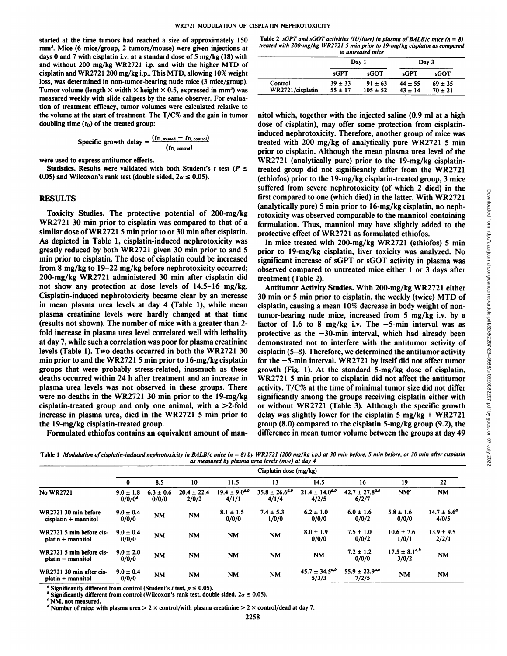started at the time tumors had reached a size of approximately 150 mm<sup>3</sup>. Mice (6 mice/group, 2 tumors/mouse) were given injections at days 0 and 7 with cisplatin i.v. at a standard dose of 5 mg/kg  $(18)$  with and without 200 mg/kg WR2721 i.p. and with the higher MTD of cisplatin and WR2721 200 mg/kg i.p.. This MTD, allowing 10% weight loss, was determined in non-tumor-bearing nude mice (3 mice/group). Tumor volume (length  $\times$  width  $\times$  height  $\times$  0.5, expressed in mm<sup>3</sup>) was measured weekly with slide calipers by the same observer. For evalua tion of treatment efficacy, tumor volumes were calculated relative to the volume at the start of treatment. The T/C% and the gain in tumor doubling time  $(t<sub>D</sub>)$  of the treated group:

Specific growth delay = 
$$
\frac{(t_{\text{D, treated}} - t_{\text{D, control}})}{(t_{\text{D, control}})}
$$

were used to express antitumor effects.

Statistics. Results were validated with both Student's t test ( $P \leq$ 0.05) and Wilcoxon's rank test (double sided,  $2\alpha \le 0.05$ ).

#### **RESULTS**

Toxicity Studies. The protective potential of 200-mg/kg WR2721 30 min prior to cisplatin was compared to that of a similar dose of WR2721 5 min prior to or 30 min after cisplatin. As depicted in Table 1, cisplatin-induced nephrotoxicity was greatly reduced by both WR2721 given 30 min prior to and 5 min prior to cisplatin. The dose of cisplatin could be increased from 8 mg/kg to 19-22 mg/kg before nephrotoxicity occurred; 200-mg/kg WR2721 administered 30 min after cisplatin did not show any protection at dose levels of 14.5-16 mg/kg. Cisplatin-induced nephrotoxicity became clear by an increase in mean plasma urea levels at day 4 (Table 1), while mean plasma creatinine levels were hardly changed at that time (results not shown). The number of mice with a greater than 2 fold increase in plasma urea level correlated well with lethality at day 7, while such a correlation was poor for plasma creatinine levels (Table 1). Two deaths occurred in both the WR2721 30 min prior to and the WR2721 5 min prior to  $16-mg/kg$  cisplatin groups that were probably stress-related, inasmuch as these deaths occurred within 24 h after treatment and an increase in plasma urea levels was not observed in these groups. There were no deaths in the WR2721 30 min prior to the 19-mg/kg cisplatin-treated group and only one animal, with a >2-fold increase in plasma urea, died in the WR2721 5 min prior to the 19-mg/kg cisplatin-treated group.

Formulated ethiofos contains an equivalent amount of man-

Table 2 sGPT and sGOT activities (IU/liter) in plasma of BALB/c mice ( $n = 8$ ) *treated with 200-mg/kg WR272I 5 min prior to 19-mg/kg cisplatin as compared to untreated mice*

|                  | Day 1       |              | Day 3       |             |  |
|------------------|-------------|--------------|-------------|-------------|--|
|                  | sGPT        | sGOT         | sGPT        | sGOT        |  |
| Control          | $39 \pm 33$ | $91 \pm 63$  | $44 \pm 55$ | $69 \pm 35$ |  |
| WR2721/cisplatin | $55 \pm 17$ | $105 \pm 52$ | $43 \pm 14$ | $70 \pm 21$ |  |

nitol which, together with the injected saline (0.9 ml at a high dose of cisplatin), may offer some protection from cisplatininduced nephrotoxicity. Therefore, another group of mice was treated with 200 mg/kg of analytically pure WR2721 5 min prior to cisplatin. Although the mean plasma urea level of the WR2721 (analytically pure) prior to the 19-mg/kg cisplatintreated group did not significantly differ from the WR2721 (ethiofos) prior to the 19-mg/kg cisplatin-treated group, 3 mice first compared to one (which died) in the latter. With WR2721 (analytically pure) 5 min prior to 16-mg/kg cisplatin, no neph rotoxicity was observed comparable to the mannitol-containing formulation. Thus, mannitol may have slightly added to the protective effect of WR2721 as formulated ethiofos.

In mice treated with 200-mg/kg WR2721 (ethiofos) 5 min prior to 19-mg/kg cisplatin, liver toxicity was analyzed. No significant increase of sGPT or sGOT activity in plasma was observed compared to untreated mice either 1 or 3 days after treatment (Table 2).

suffered from severe nephrotoxicity (of which 2 died) in the<br>first compared to one (which died) in the latter. With WR2721<br>(analytically pure) 5 min prior to 16-mg/kg cisplatin, no neph-<br>rotoxicity was observed comparable Antitumor Activity Studies. With 200-mg/kg WR2721 either 30 min or5 min prior to cisplatin, the weekly (twice) MTD of cisplatin, causing a mean 10% decrease in body weight of nontumor-bearing nude mice, increased from 5 mg/kg i.v. by a factor of 1.6 to 8 mg/kg i.v. The  $-5$ -min interval was as protective as the  $-30$ -min interval, which had already been demonstrated not to interfere with the antitumor activity of cisplatin (5-8). Therefore, we determined the antitumor activity for the  $-5$ -min interval. WR2721 by itself did not affect tumor growth (Fig. 1). At the standard 5-mg/kg dose of cisplatin, WR2721 5 min prior to cisplatin did not affect the antitumor activity. T/C% at the time of minimal tumor size did not differ significantly among the groups receiving cisplatin either with or without WR2721 (Table 3). Although the specific growth delay was slightly lower for the cisplatin 5 mg/kg  $+$  WR2721 group (8.0) compared to the cisplatin 5-mg/kg group (9.2), the difference in mean tumor volume between the groups at day 49

Table 1 Modulation of cisplatin-induced nephrotoxicity in BALB/c mice  $(n = 8)$  by WR2721 (200 mg/kg i.p.) at 30 min before, 5 min before, or 30 min after cisplatin *as measured by plasma urea levels (mm) at day 4*

|                                                               | Cisplatin dose (mg/kg)     |                        |                          |                               |                                |                                |                                |                               |                                 |
|---------------------------------------------------------------|----------------------------|------------------------|--------------------------|-------------------------------|--------------------------------|--------------------------------|--------------------------------|-------------------------------|---------------------------------|
|                                                               |                            | 8.5                    | 10                       | 11.5                          | 13                             | 14.5                           | 16                             | 19                            | 22                              |
| <b>No WR2721</b>                                              | $9.0 \pm 1.8$<br>$0/0/0^d$ | $6.3 \pm 0.6$<br>0/0/0 | $20.4 \pm 22.4$<br>2/0/2 | $19.4 \pm 9.0^{a,b}$<br>4/1/1 | $35.8 \pm 26.6^{a,b}$<br>4/1/4 | $21.4 \pm 14.0^{a,b}$<br>4/2/5 | $42.7 \pm 27.8^{a,b}$<br>6/2/7 | NM <sup>c</sup>               | <b>NM</b>                       |
| WR2721 30 min before<br>$cisplatin + mannitol$                | $9.0 \pm 0.4$<br>0/0/0     | <b>NM</b>              | <b>NM</b>                | $8.1 \pm 1.5$<br>0/0/0        | $7.4 \pm 5.3$<br>1/0/0         | $6.2 \pm 1.0$<br>0/0/0         | $6.0 \pm 1.6$<br>0/0/2         | $5.8 \pm 1.6$<br>0/0/0        | $14.7 \pm 6.6^{\circ}$<br>4/0/5 |
| WR2721 5 min before cis-<br>$platin + mannitol$               | $9.0 \pm 0.4$<br>0/0/0     | <b>NM</b>              | <b>NM</b>                | NM                            | <b>NM</b>                      | $8.0 \pm 1.9$<br>0/0/0         | $7.5 \pm 1.0$<br>0/0/2         | $10.6 \pm 7.6$<br>1/0/1       | $13.9 \pm 9.5$<br>2/2/1         |
| WR2721 5 min before cis-<br>platin - mannitol                 | $9.0 \pm 2.0$<br>0/0/0     | <b>NM</b>              | <b>NM</b>                | <b>NM</b>                     | <b>NM</b>                      | <b>NM</b>                      | $7.2 \pm 1.2$<br>0/0/0         | $17.5 \pm 8.1^{a,b}$<br>3/0/2 | <b>NM</b>                       |
| WR2721 30 min after cis-<br>$\mathbf{platin} + \mathbf{mann}$ | $9.0 \pm 0.4$<br>0/0/0     | <b>NM</b>              | <b>NM</b>                | <b>NM</b>                     | <b>NM</b>                      | $45.7 \pm 34.5^{a,b}$<br>5/3/3 | $55.9 \pm 22.9^{a,b}$<br>7/2/5 | <b>NM</b>                     | <b>NM</b>                       |

*" Significantly different from control(Student's i test, p ^ 0.05).*

<sup>b</sup> Significantly different from control (Wilcoxon's rank test, double sided,  $2\alpha \le 0.05$ ).

 $^c$  NM. not measured.

<sup>d</sup> Number of mice: with plasma urea > 2 × control/with plasma creatinine > 2 × control/dead at day 7.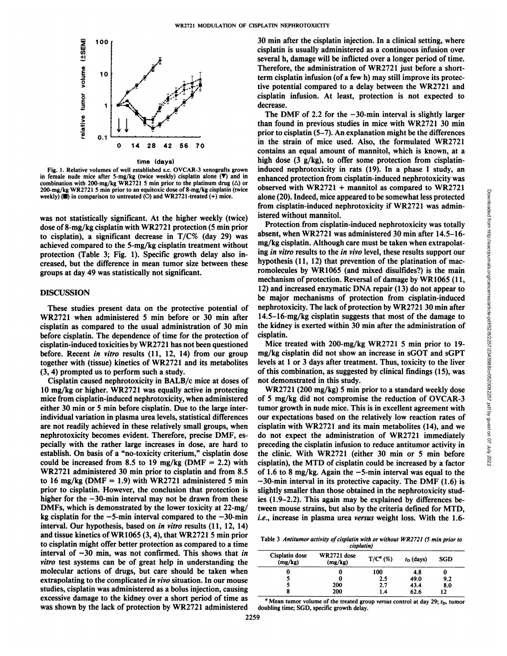

time (days)

Fig. l. Relative volumes of well established s.e. OVCAR-3 xenografts grown in female nude mice after 5-mg/kg (twice weekly) cisplatin alone  $(\nabla)$  and in combination with 200-mg/kg WR2721 5 min prior to the platinum drug ( $\Delta$ ) or 200-mg/kg WR2721 5 min prior to an equitoxic dose of 8-mg/kg cisplatin (twice weekly)  $(\blacksquare)$  in comparison to untreated (O) and WR2721-treated (+) mice.

was not statistically significant. At the higher weekly (twice) dose of 8-mg/kg cisplatin with WR2721 protection (5 min prior to cisplatin), a significant decrease in  $T/C\%$  (day 29) was achieved compared to the 5-mg/kg cisplatin treatment without protection (Table 3; Fig. 1). Specific growth delay also in creased, but the difference in mean tumor size between these groups at day 49 was statistically not significant.

# DISCUSSION

These studies present data on the protective potential of WR2721 when administered 5 min before or 30 min after cisplatin as compared to the usual administration of 30 min before cisplatin. The dependence of time for the protection of cisplatin-induced toxicities by WR2721 has not been questioned before. Recent in vitro results (11, 12, 14) from our group together with (tissue) kinetics of WR2721 and its metabolites (3, 4) prompted us to perform such a study.

Cisplatin caused nephrotoxicity in BALB/c mice at doses of 10 mg/kg or higher. WR2721 was equally active in protecting mice from cisplatin-induced nephrotoxicity, when administered either 30 min or 5 min before cisplatin. Due to the large interindividual variation in plasma urea levels, statistical differences are not readily achieved in these relatively small groups, when nephrotoxicity becomes evident. Therefore, precise DMF, es pecially with the rather large increases in dose, are hard to establish. On basis of a "no-toxicity criterium," cisplatin dose could be increased from 8.5 to 19 mg/kg (DMF  $= 2.2$ ) with WR2721 administered 30 min prior to cisplatin and from 8.5 to 16 mg/kg (DMF = 1.9) with WR2721 administered 5 min prior to cisplatin. However, the conclusion that protection is higher for the  $-30$ -min interval may not be drawn from these DMFs, which is demonstrated by the lower toxicity at 22-mg/ kg cisplatin for the  $-5$ -min interval compared to the  $-30$ -min interval. Our hypothesis, based on in vitro results (11, 12, 14) and tissue kinetics of WR1065 (3,4), that WR2721 5 min prior to cisplatin might offer better protection as compared to a time interval of  $-30$  min, was not confirmed. This shows that in *vitro test systems can be ofgreat help in understanding the* molecular actions of drugs, but care should be taken when extrapolating to the complicated in vivo situation. In our mouse studies, cisplatin was administered as a bolus injection, causing excessive damage to the kidney over a short period of time as was shown by the lack of protection by WR2721 administered

30 min after the cisplatin injection. In a clinical setting, where cisplatin is usually administered as a continuous infusion over several h, damage will be inflicted over a longer period of time. Therefore, the administration of WR2721 just before a shortterm cisplatin infusion (of a few h) may still improve its protec tive potential compared to a delay between the WR2721 and cisplatin infusion. At least, protection is not expected to decrease.

The DMF of 2.2 for the  $-30$ -min interval is slightly larger than found in previous studies in mice with WR2721 30 min prior to cisplatin (5-7). An explanation might be the differences in the strain of mice used. Also, the formulated WR2721 contains an equal amount of mannitol, which is known, at a high dose (3 g/kg), to offer some protection from cisplatininduced nephrotoxicity in rats (19). In a phase I study, an enhanced protection from cisplatin-induced nephrotoxicity was alone (20). Indeed, mice appeared to be somewhat less protected from cisplatin-induced nephrotoxicity if WR2721 was admin istered without mannitol.

observed with WR2721 + mannitol as compared to WR2721<br>alone (200, lindeed, mice appeared to be somewhat less protected<br>from cisplatin-induced nephrotoxicity if WR2721 was administered<br>from cisplatin-induced nephrotoxicity Protection from cisplatin-induced nephrotoxicity was totally absent, when WR2721 was administered 30 min after 14.5-16 mg/kg cisplatin. Although care must be taken when extrapolat ing in vitro results to the in vivo level, these results support our hypothesis (11, 12) that prevention of the platination of macromolecules by WR1065 (and mixed disulfides?) is the main mechanism of protection. Reversal of damage by WR1065 (11, 12) and increased enzymatic DNA repair (13) do notappear to be major mechanisms of protection from cisplatin-induced nephrotoxicity. The lack of protection by WR2721 30 min after 14.5-16-mg/kg cisplatin suggests that most of the damage to the kidney is exerted within 30 min after the administration of cisplatin.

Mice treated with 200-mg/kg WR2721 5 min prior to 19 mg/kg cisplatin did not show an increase in sGOT and sGPT levels at 1 or 3 days after treatment. Thus, toxicity to the liver of this combination, as suggested by clinical findings (15), was not demonstrated in this study.

WR2721 (200 mg/kg) 5 min prior to a standard weekly dose of 5 mg/kg did not compromise the reduction of OVCAR-3 tumor growth in nude mice. This is in excellent agreement with our expectations based on the relatively low reaction rates of cisplatin with WR2721 and its main metabolites (14), and we do not expect the administration of WR2721 immediately preceding the cisplatin infusion to reduce antitumor activity in the clinic. With WR2721 (either 30 min or 5 min before cisplatin), the MTD of cisplatin could be increased by a factor of 1.6 to 8 mg/kg. Again the  $-5$ -min interval was equal to the  $-30$ -min interval in its protective capacity. The DMF (1.6) is slightly smaller than those obtained in the nephrotoxicity stud ies (1.9-2.2). This again may be explained by differences be tween mouse strains, but also by the criteria defined for MTD, *i.e., increase in plasma urea versus weight loss. With the 1.6-*

Table 3 Antitumor activity of cisplatin with or without WR2721 (5 min prior to *cisplatin)*

| Cisplatin dose<br>(mg/kg) | WR2721 dose<br>(mg/kg) | $T/C^{a}$ (%) | $t_D$ (days) | SGD |  |  |
|---------------------------|------------------------|---------------|--------------|-----|--|--|
|                           | U                      | 100           | 4.8          |     |  |  |
|                           |                        | 2.5           | 49.0         | 9.2 |  |  |
|                           | 200                    | 2.7           | 43.4         | 8.0 |  |  |
|                           | 200                    | 1.4           | 62.6         | 12  |  |  |

<sup>&</sup>lt;sup>*a*</sup> Mean *tumor volume* of *the treated group versus* control at day 29;  $t<sub>D</sub>$ , *tumor* doubling time; SGD, specific growth delay.